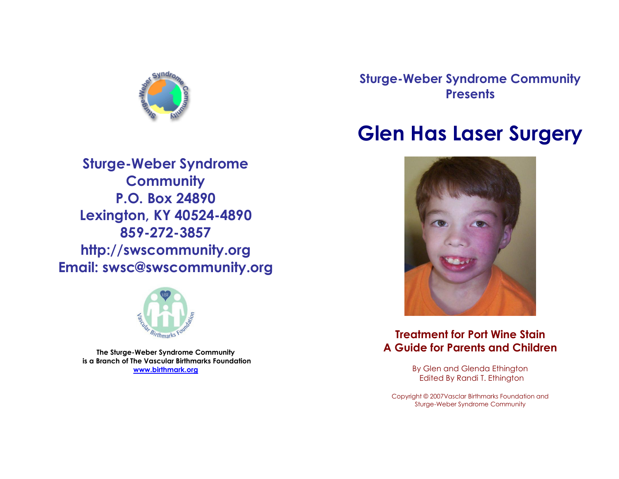

**Sturge-Weber Syndrome Community P.O. Box 24890 Lexington, KY 40524-4890 859-272-3857 http://swscommunity.org Email: swsc@swscommunity.org**



**The Sturge-Weber Syndrome Community is a Branch of The Vascular Birthmarks Foundation [www.birthmark.org](http://www.birthmark.org/)**

**Sturge-Weber Syndrome Community Presents**

# **Glen Has Laser Surgery**



#### **Treatment for Port Wine Stain A Guide for Parents and Children**

By Glen and Glenda Ethington Edited By Randi T. Ethington

Copyright © 2007Vasclar Birthmarks Foundation and Sturge-Weber Syndrome Community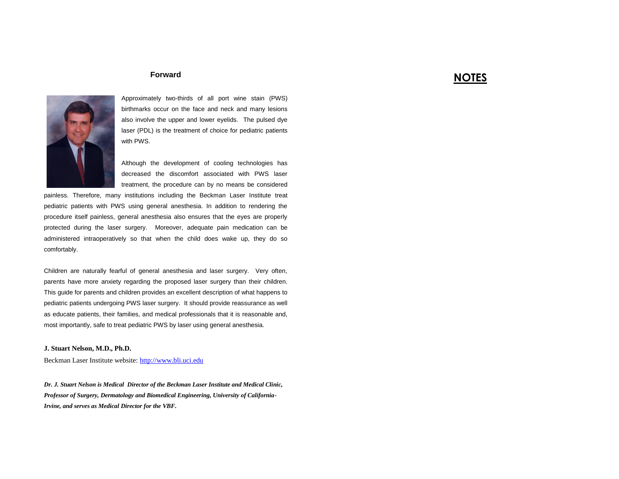#### **NOTES**



Approximately two-thirds of all port wine stain (PWS) birthmarks occur on the face and neck and many lesions also involve the upper and lower eyelids. The pulsed dye laser (PDL) is the treatment of choice for pediatric patients with PWS.

Although the development of cooling technologies has decreased the discomfort associated with PWS laser treatment, the procedure can by no means be considered

painless. Therefore, many institutions including the Beckman Laser Institute treat pediatric patients with PWS using general anesthesia. In addition to rendering the procedure itself painless, general anesthesia also ensures that the eyes are properly protected during the laser surgery. Moreover, adequate pain medication can be administered intraoperatively so that when the child does wake up, they do so comfortably.

**Forward**

Children are naturally fearful of general anesthesia and laser surgery. Very often, parents have more anxiety regarding the proposed laser surgery than their children. This guide for parents and children provides an excellent description of what happens to pediatric patients undergoing PWS laser surgery. It should provide reassurance as well as educate patients, their families, and medical professionals that it is reasonable and, most importantly, safe to treat pediatric PWS by laser using general anesthesia.

#### **J. Stuart Nelson, M.D., Ph.D.**

Beckman Laser Institute website[: http://www.bli.uci.edu](http://www.bli.uci.edu/)

*Dr. J. Stuart Nelson is Medical Director of the Beckman Laser Institute and Medical Clinic, Professor of Surgery, Dermatology and Biomedical Engineering, University of California-Irvine, and serves as Medical Director for the VBF.*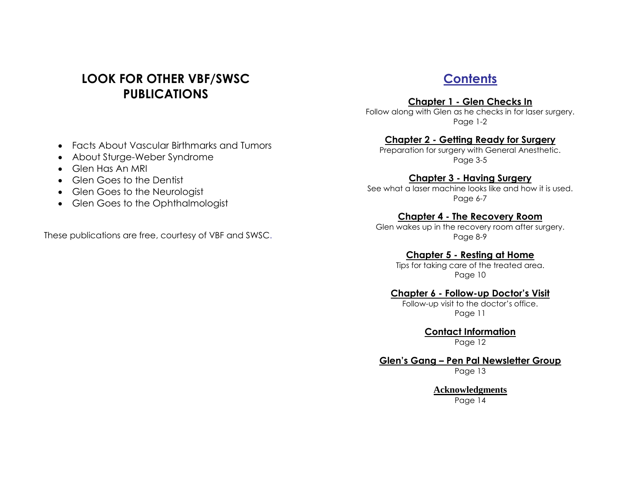### **LOOK FOR OTHER VBF/SWSC PUBLICATIONS**

### **Contents**

**Chapter 1 - Glen Checks In**

Follow along with Glen as he checks in for laser surgery. Page 1-2

#### **Chapter 2 - Getting Ready for Surgery**

Preparation for surgery with General Anesthetic. Page 3-5

#### **Chapter 3 - Having Surgery**

See what a laser machine looks like and how it is used. Page 6-7

#### **Chapter 4 - The Recovery Room**

Glen wakes up in the recovery room after surgery. Page 8-9

#### **Chapter 5 - Resting at Home**

Tips for taking care of the treated area. Page 10

#### **Chapter 6 - Follow-up Doctor's Visit**

Follow-up visit to the doctor's office. Page 11

> **Contact Information** Page 12

#### **Glen's Gang – Pen Pal Newsletter Group** Page 13

**Acknowledgments** Page 14

- Facts About Vascular Birthmarks and Tumors
- About Sturge-Weber Syndrome
- Glen Has An MRI
- Glen Goes to the Dentist
- Glen Goes to the Neurologist
- Glen Goes to the Ophthalmologist

These publications are free, courtesy of VBF and SWSC.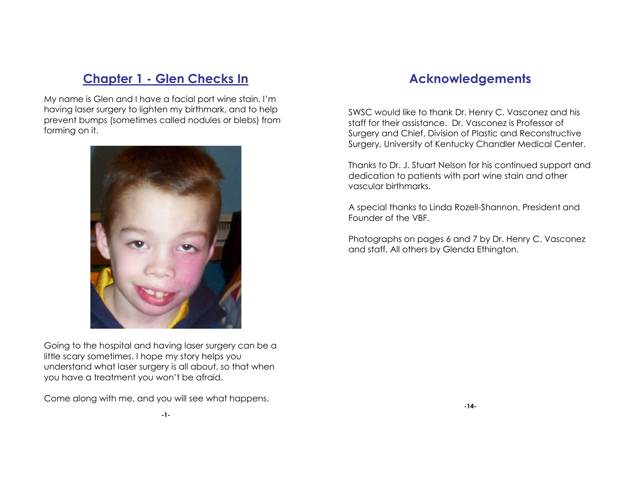### **Chapter 1 - Glen Checks In**

My name is Glen and I have a facial port wine stain. I'm having laser surgery to lighten my birthmark, and to help prevent bumps (sometimes called nodules or blebs) from forming on it.



Going to the hospital and having laser surgery can be a little scary sometimes. I hope my story helps you understand what laser surgery is all about, so that when you have a treatment you won't be afraid.

Come along with me, and you will see what happens.

### **Acknowledgements**

SWSC would like to thank Dr. Henry C. Vasconez and his staff for their assistance. Dr. Vasconez is Professor of Surgery and Chief, Division of Plastic and Reconstructive Surgery, University of Kentucky Chandler Medical Center.

Thanks to Dr. J. Stuart Nelson for his continued support and dedication to patients with port wine stain and other vascular birthmarks.

A special thanks to Linda Rozell-Shannon, President and Founder of the VBF.

Photographs on pages 6 and 7 by Dr. Henry C. Vasconez and staff. All others by Glenda Ethington.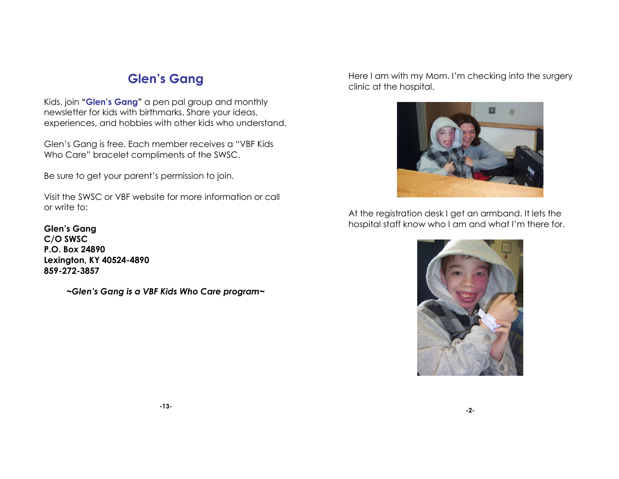## **Glen's Gang**

Kids, join **"Glen's Gang"** a pen pal group and monthly newsletter for kids with birthmarks. Share your ideas, experiences, and hobbies with other kids who understand.

Glen's Gang is free. Each member receives a "VBF Kids Who Care" bracelet compliments of the SWSC.

Be sure to get your parent's permission to join.

Visit the SWSC or VBF website for more information or call or write to:

**Glen's Gang C/O SWSC P.O. Box 24890 Lexington, KY 40524-4890 859-272-3857**

*~Glen's Gang is a VBF Kids Who Care program~*

Here I am with my Mom. I'm checking into the surgery clinic at the hospital.



At the registration desk I get an armband. It lets the hospital staff know who I am and what I'm there for.

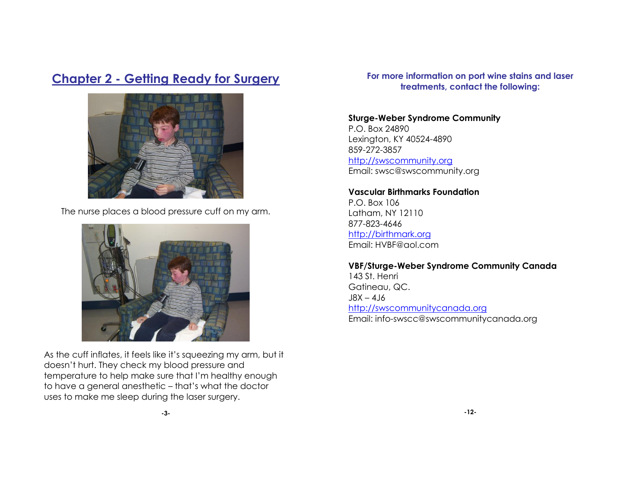### **Chapter 2 - Getting Ready for Surgery**



The nurse places a blood pressure cuff on my arm.



As the cuff inflates, it feels like it's squeezing my arm, but it doesn't hurt. They check my blood pressure and temperature to help make sure that I'm healthy enough to have a general anesthetic – that's what the doctor uses to make me sleep during the laser surgery.

**For more information on port wine stains and laser treatments, contact the following:**

#### **Sturge-Weber Syndrome Community**

P.O. Box 24890 Lexington, KY 40524-4890 859-272-3857 [http://swscommunity.org](http://swscommunity.org/) Email: swsc@swscommunity.org

#### **Vascular Birthmarks Foundation**

P.O. Box 106 Latham, NY 12110 877-823-4646 [http://birthmark.org](http://birthmark.org/) Email: HVBF@aol.com

## **VBF/Sturge-Weber Syndrome Community Canada**

143 St. Henri Gatineau, QC.  $JSX - 4J6$ [http://swscommunitycanada.org](http://swscommunitycanada.org/) Email: info-swscc@swscommunitycanada.org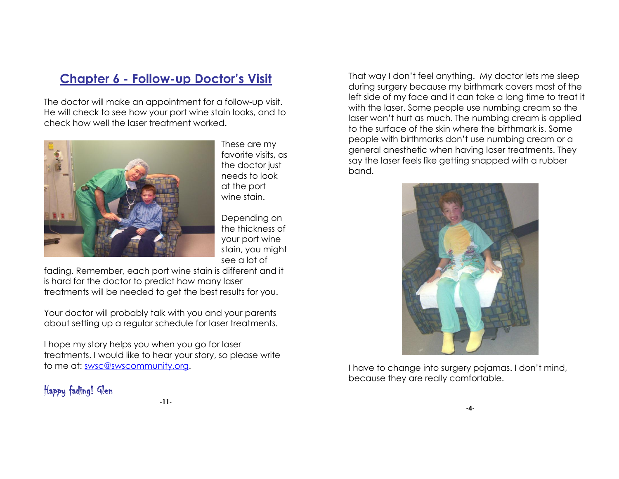### **Chapter 6 - Follow-up Doctor's Visit**

The doctor will make an appointment for a follow-up visit. He will check to see how your port wine stain looks, and to check how well the laser treatment worked.



These are my favorite visits, as the doctor just needs to look at the port wine stain.

Depending on the thickness of your port wine stain, you might see a lot of

fading. Remember, each port wine stain is different and it is hard for the doctor to predict how many laser treatments will be needed to get the best results for you.

Your doctor will probably talk with you and your parents about setting up a regular schedule for laser treatments.

I hope my story helps you when you go for laser treatments. I would like to hear your story, so please write to me at: [swsc@swscommunity.org.](mailto:swsc@swscommunity.org)

#### Happy fading! Glen

That way I don't feel anything. My doctor lets me sleep during surgery because my birthmark covers most of the left side of my face and it can take a long time to treat it with the laser. Some people use numbing cream so the laser won't hurt as much. The numbing cream is applied to the surface of the skin where the birthmark is. Some people with birthmarks don't use numbing cream or a general anesthetic when having laser treatments. They say the laser feels like getting snapped with a rubber band.



I have to change into surgery pajamas. I don't mind, because they are really comfortable.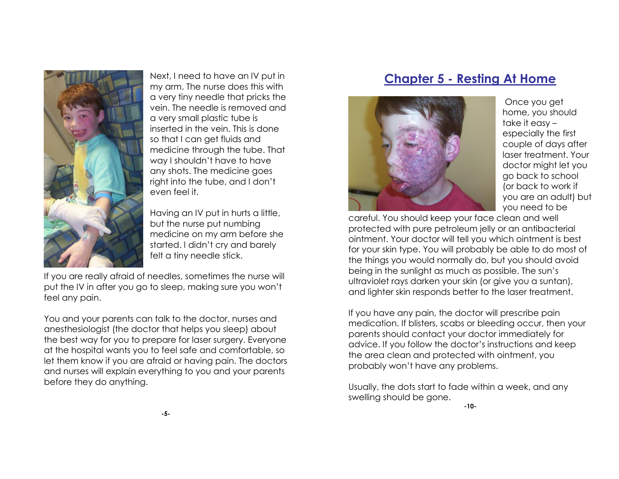

Next, I need to have an IV put in my arm. The nurse does this with a very tiny needle that pricks the vein. The needle is removed and a very small plastic tube is inserted in the vein. This is done so that I can get fluids and medicine through the tube. That way I shouldn't have to have any shots. The medicine goes right into the tube, and I don't even feel it.

Having an IV put in hurts a little, but the nurse put numbing medicine on my arm before she started. I didn't cry and barely felt a tiny needle stick.

If you are really afraid of needles, sometimes the nurse will put the IV in after you go to sleep, making sure you won't feel any pain.

You and your parents can talk to the doctor, nurses and anesthesiologist (the doctor that helps you sleep) about the best way for you to prepare for laser surgery. Everyone at the hospital wants you to feel safe and comfortable, so let them know if you are afraid or having pain. The doctors and nurses will explain everything to you and your parents before they do anything.

#### **Chapter 5 - Resting At Home**



Once you get home, you should take it easy – especially the first couple of days after laser treatment. Your doctor might let you go back to school (or back to work if you are an adult) but you need to be

careful. You should keep your face clean and well protected with pure petroleum jelly or an antibacterial ointment. Your doctor will tell you which ointment is best for your skin type. You will probably be able to do most of the things you would normally do, but you should avoid being in the sunlight as much as possible. The sun's ultraviolet rays darken your skin (or give you a suntan), and lighter skin responds better to the laser treatment.

If you have any pain, the doctor will prescribe pain medication. If blisters, scabs or bleeding occur, then your parents should contact your doctor immediately for advice. If you follow the doctor's instructions and keep the area clean and protected with ointment, you probably won't have any problems.

Usually, the dots start to fade within a week, and any swelling should be gone.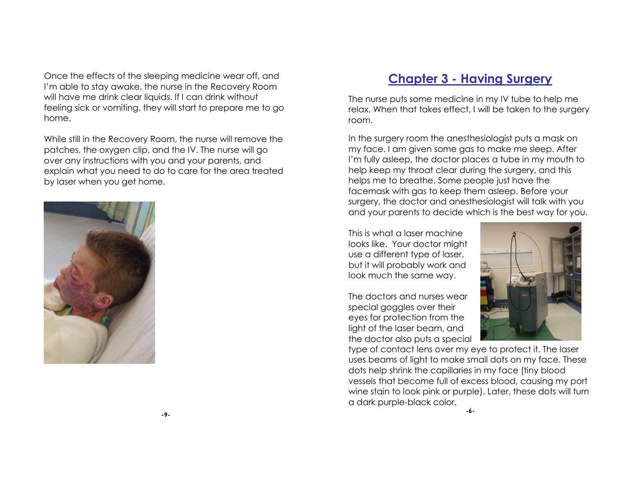Once the effects of the sleeping medicine wear off, and I'm able to stay awake, the nurse in the Recovery Room will have me drink clear liquids. If I can drink without feeling sick or vomiting, they will start to prepare me to go home.

While still in the Recovery Room, the nurse will remove the patches, the oxygen clip, and the IV. The nurse will go over any instructions with you and your parents, and explain what you need to do to care for the area treated by laser when you get home.



### **Chapter 3 - Having Surgery**

The nurse puts some medicine in my IV tube to help me relax. When that takes effect, I will be taken to the surgery room.

In the surgery room the anesthesiologist puts a mask on my face. I am given some gas to make me sleep. After I'm fully asleep, the doctor places a tube in my mouth to help keep my throat clear during the surgery, and this helps me to breathe. Some people just have the facemask with gas to keep them asleep. Before your surgery, the doctor and anesthesiologist will talk with you and your parents to decide which is the best way for you.

This is what a laser machine looks like. Your doctor might use a different type of laser, but it will probably work and look much the same way.

The doctors and nurses wear special goggles over their eyes for protection from the light of the laser beam, and the doctor also puts a special



type of contact lens over my eye to protect it. The laser uses beams of light to make small dots on my face. These dots help shrink the capillaries in my face (tiny blood vessels that become full of excess blood, causing my port wine stain to look pink or purple). Later, these dots will turn a dark purple-black color.